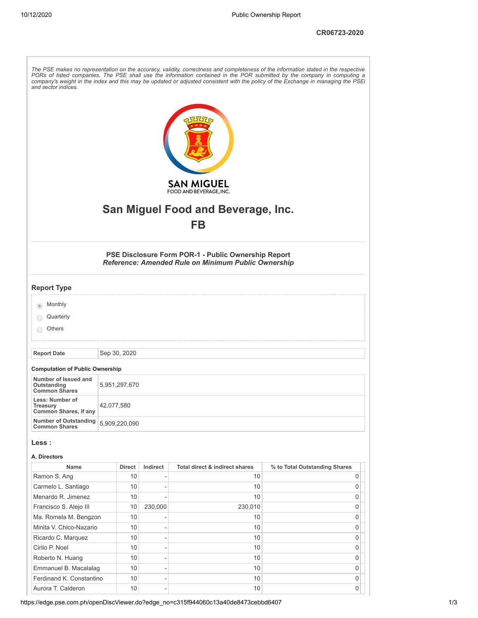**CR06723-2020**

| and sector indices.                                         |               |          |                                                                                                            | The PSE makes no representation on the accuracy, validity, correctness and completeness of the information stated in the respective<br>PORs of listed companies. The PSE shall use the information contained in the POR submitted by the company in computing a<br>company's weight in the index and this may be updated or adjusted consistent with the policy of the Exchange in managing the PSEi |
|-------------------------------------------------------------|---------------|----------|------------------------------------------------------------------------------------------------------------|------------------------------------------------------------------------------------------------------------------------------------------------------------------------------------------------------------------------------------------------------------------------------------------------------------------------------------------------------------------------------------------------------|
|                                                             |               |          | <b>SAN MIGUEL</b><br>FOOD AND BEVERAGE, INC.<br>San Miguel Food and Beverage, Inc.                         |                                                                                                                                                                                                                                                                                                                                                                                                      |
|                                                             |               |          | <b>FB</b>                                                                                                  |                                                                                                                                                                                                                                                                                                                                                                                                      |
|                                                             |               |          |                                                                                                            |                                                                                                                                                                                                                                                                                                                                                                                                      |
|                                                             |               |          | PSE Disclosure Form POR-1 - Public Ownership Report<br>Reference: Amended Rule on Minimum Public Ownership |                                                                                                                                                                                                                                                                                                                                                                                                      |
| <b>Report Type</b>                                          |               |          |                                                                                                            |                                                                                                                                                                                                                                                                                                                                                                                                      |
| Monthly<br>Quarterly<br>Others                              |               |          |                                                                                                            |                                                                                                                                                                                                                                                                                                                                                                                                      |
|                                                             |               |          |                                                                                                            |                                                                                                                                                                                                                                                                                                                                                                                                      |
| <b>Report Date</b>                                          | Sep 30, 2020  |          |                                                                                                            |                                                                                                                                                                                                                                                                                                                                                                                                      |
| <b>Computation of Public Ownership</b>                      |               |          |                                                                                                            |                                                                                                                                                                                                                                                                                                                                                                                                      |
| Number of Issued and<br>Outstanding<br><b>Common Shares</b> | 5,951,297,670 |          |                                                                                                            |                                                                                                                                                                                                                                                                                                                                                                                                      |
| Less: Number of<br>Treasury<br>Common Shares, if any        | 42,077,580    |          |                                                                                                            |                                                                                                                                                                                                                                                                                                                                                                                                      |
| <b>Number of Outstanding</b><br><b>Common Shares</b>        | 5,909,220,090 |          |                                                                                                            |                                                                                                                                                                                                                                                                                                                                                                                                      |
| Less :                                                      |               |          |                                                                                                            |                                                                                                                                                                                                                                                                                                                                                                                                      |
| A. Directors                                                |               |          |                                                                                                            |                                                                                                                                                                                                                                                                                                                                                                                                      |
| <b>Name</b>                                                 | <b>Direct</b> | Indirect | Total direct & indirect shares                                                                             | % to Total Outstanding Shares                                                                                                                                                                                                                                                                                                                                                                        |
| Ramon S. Ang                                                | 10            |          | 10                                                                                                         | 0                                                                                                                                                                                                                                                                                                                                                                                                    |
| Carmelo L. Santiago                                         | 10            |          | 10                                                                                                         | 0                                                                                                                                                                                                                                                                                                                                                                                                    |
| Menardo R. Jimenez                                          | 10            |          | 10                                                                                                         | 0                                                                                                                                                                                                                                                                                                                                                                                                    |
| Francisco S. Alejo III                                      | 10            | 230,000  | 230,010                                                                                                    | 0                                                                                                                                                                                                                                                                                                                                                                                                    |
| Ma. Romela M. Bengzon                                       | 10            |          | 10                                                                                                         | 0                                                                                                                                                                                                                                                                                                                                                                                                    |
| Minita V. Chico-Nazario                                     | 10            |          | 10                                                                                                         | 0                                                                                                                                                                                                                                                                                                                                                                                                    |
| Ricardo C. Marquez                                          | 10            |          | 10                                                                                                         | 0                                                                                                                                                                                                                                                                                                                                                                                                    |
| Cirilo P. Noel                                              | 10            |          | 10                                                                                                         | 0                                                                                                                                                                                                                                                                                                                                                                                                    |
| Roberto N. Huang                                            | 10            |          | 10                                                                                                         | 0                                                                                                                                                                                                                                                                                                                                                                                                    |
|                                                             | 10            |          | 10                                                                                                         | 0                                                                                                                                                                                                                                                                                                                                                                                                    |
| Emmanuel B. Macalalag                                       |               |          |                                                                                                            |                                                                                                                                                                                                                                                                                                                                                                                                      |
| Ferdinand K. Constantino<br>Aurora T. Calderon              | 10<br>10      |          | 10<br>10                                                                                                   | 0<br>0                                                                                                                                                                                                                                                                                                                                                                                               |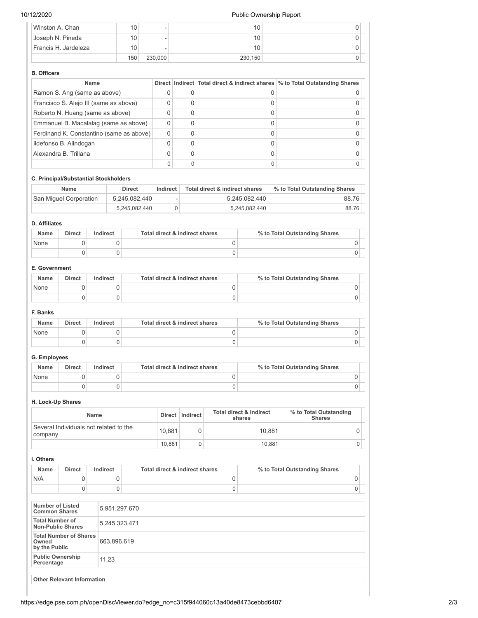# 10/12/2020 Public Ownership Report

| Winston A. Chan      | 10  | $\overline{\phantom{a}}$ | 10      |  |
|----------------------|-----|--------------------------|---------|--|
| Joseph N. Pineda     | 10  |                          | 10      |  |
| Francis H. Jardeleza | 10  | $\overline{\phantom{0}}$ | 10      |  |
|                      | 150 | 230,000                  | 230.150 |  |

#### **B. Officers**

| <b>Name</b>                              |          | Direct   Indirect   Total direct & indirect shares   % to Total Outstanding Shares |
|------------------------------------------|----------|------------------------------------------------------------------------------------|
| Ramon S. Ang (same as above)             |          |                                                                                    |
| Francisco S. Alejo III (same as above)   |          |                                                                                    |
| Roberto N. Huang (same as above)         |          |                                                                                    |
| Emmanuel B. Macalalag (same as above)    |          |                                                                                    |
| Ferdinand K. Constantino (same as above) | $\Omega$ |                                                                                    |
| Ildefonso B. Alindogan                   |          |                                                                                    |
| Alexandra B. Trillana                    | O        |                                                                                    |
|                                          |          |                                                                                    |

# **C. Principal/Substantial Stockholders**

| <b>Name</b>            | <b>Direct</b> | Indirect | Total direct & indirect shares | % to Total Outstanding Shares |
|------------------------|---------------|----------|--------------------------------|-------------------------------|
| San Miquel Corporation | 5,245,082,440 |          | 5.245.082.440                  | 88.76                         |
|                        | 5,245,082,440 |          | 5,245,082,440                  | 88.76                         |

# **D. Affiliates**

| <b>Name</b> | <b>Direct</b> | Indirect | Total direct & indirect shares | % to Total Outstanding Shares |
|-------------|---------------|----------|--------------------------------|-------------------------------|
| None        |               |          |                                |                               |
|             |               |          |                                |                               |

### **E. Government**

| <b>Name</b> | <b>Direct</b> | Indirect | Total direct & indirect shares | % to Total Outstanding Shares |
|-------------|---------------|----------|--------------------------------|-------------------------------|
| None        |               |          |                                |                               |
|             |               |          |                                |                               |

## **F. Banks**

| <b>Name</b> | Direct | Indirect | Total direct & indirect shares | % to Total Outstanding Shares |
|-------------|--------|----------|--------------------------------|-------------------------------|
| None        |        |          |                                |                               |
|             |        |          |                                |                               |

# **G. Employees**

| <b>Name</b> | <b>Direct</b> | Indirect | Total direct & indirect shares | % to Total Outstanding Shares |
|-------------|---------------|----------|--------------------------------|-------------------------------|
| None        |               |          |                                |                               |
|             |               |          |                                |                               |

## **H. Lock-Up Shares**

| <b>Name</b>                                       | Direct | Indirect | Total direct & indirect<br>shares | % to Total Outstanding<br><b>Shares</b> |
|---------------------------------------------------|--------|----------|-----------------------------------|-----------------------------------------|
| Several Individuals not related to the<br>company | 10.881 |          | 10.881                            |                                         |
|                                                   | 10.881 |          | 10.881                            |                                         |

## **I. Others**

| <b>Name</b> | <b>Direct</b> | Indirect | Total direct & indirect shares | % to Total Outstanding Shares |
|-------------|---------------|----------|--------------------------------|-------------------------------|
| N/A         |               |          |                                |                               |
|             |               |          |                                |                               |

| Number of Listed<br><b>Common Shares</b>                | 5,951,297,670 |
|---------------------------------------------------------|---------------|
| <b>Total Number of</b><br><b>Non-Public Shares</b>      | 5,245,323,471 |
| <b>Total Number of Shares</b><br>Owned<br>by the Public | 663,896,619   |
| <b>Public Ownership</b><br>Percentage                   | 11.23         |
|                                                         |               |
| <b>Other Relevant Information</b>                       |               |